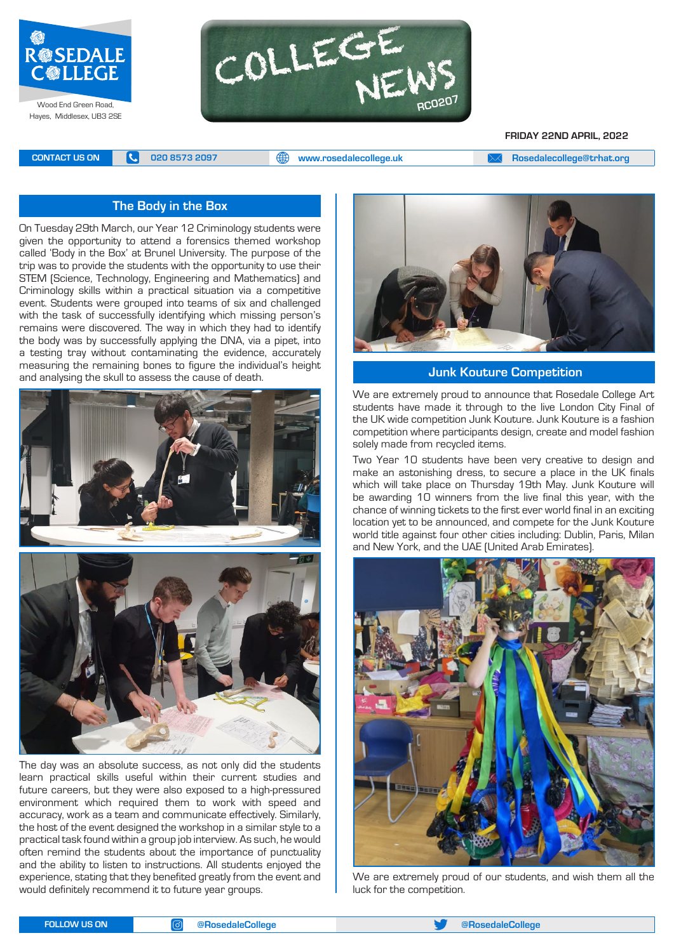



**FRIDAY 22ND APRIL, 2022**

**CONTACT US ON <b>C** 020 8573 2097 **C** 020 8573 2097 **CONTACT US ON EXAM** A posedalecollege@trhat.org

#### **The Body in the Box**

On Tuesday 29th March, our Year 12 Criminology students were given the opportunity to attend a forensics themed workshop called 'Body in the Box' at Brunel University. The purpose of the trip was to provide the students with the opportunity to use their STEM (Science, Technology, Engineering and Mathematics) and Criminology skills within a practical situation via a competitive event. Students were grouped into teams of six and challenged with the task of successfully identifying which missing person's remains were discovered. The way in which they had to identify the body was by successfully applying the DNA, via a pipet, into a testing tray without contaminating the evidence, accurately measuring the remaining bones to figure the individual's height and analysing the skull to assess the cause of death.



The day was an absolute success, as not only did the students learn practical skills useful within their current studies and future careers, but they were also exposed to a high-pressured environment which required them to work with speed and accuracy, work as a team and communicate effectively. Similarly, the host of the event designed the workshop in a similar style to a practical task found within a group job interview. As such, he would often remind the students about the importance of punctuality and the ability to listen to instructions. All students enjoyed the experience, stating that they benefited greatly from the event and would definitely recommend it to future year groups.



 **Junk Kouture Competition**

We are extremely proud to announce that Rosedale College Art students have made it through to the live London City Final of the UK wide competition Junk Kouture. Junk Kouture is a fashion competition where participants design, create and model fashion solely made from recycled items.

Two Year 10 students have been very creative to design and make an astonishing dress, to secure a place in the UK finals which will take place on Thursday 19th May. Junk Kouture will be awarding 10 winners from the live final this year, with the chance of winning tickets to the first ever world final in an exciting location yet to be announced, and compete for the Junk Kouture world title against four other cities including: Dublin, Paris, Milan and New York, and the UAE (United Arab Emirates).



We are extremely proud of our students, and wish them all the luck for the competition.